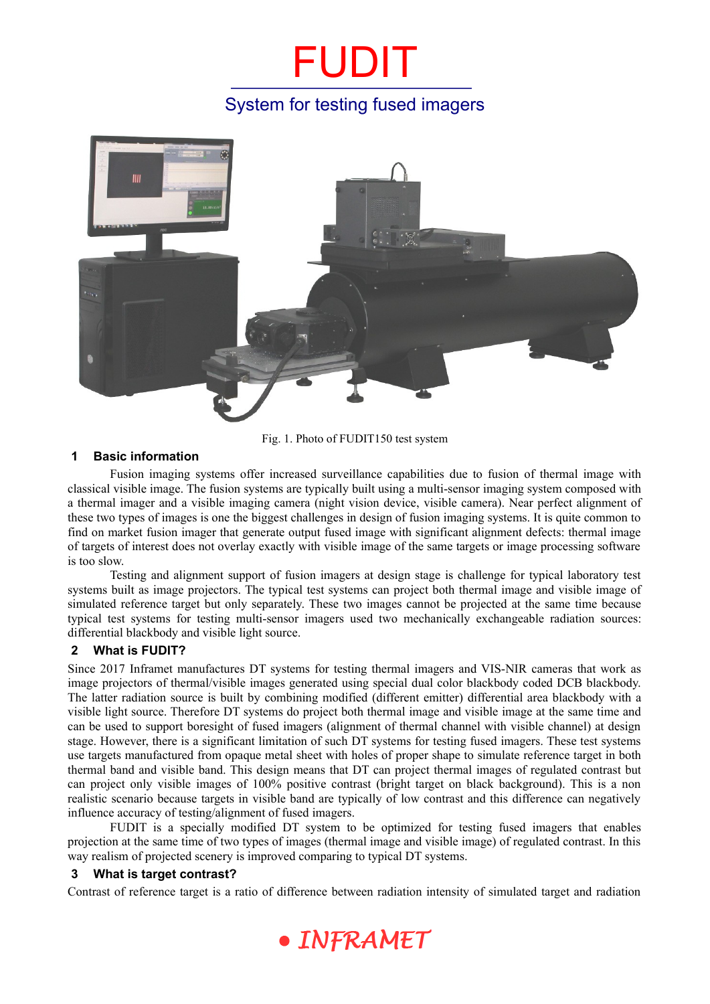## FUDIT System for testing fused imagers



Fig. 1. Photo of FUDIT150 test system

## **1 Basic information**

Fusion imaging systems offer increased surveillance capabilities due to fusion of thermal image with classical visible image. The fusion systems are typically built using a multi-sensor imaging system composed with a thermal imager and a visible imaging camera (night vision device, visible camera). Near perfect alignment of these two types of images is one the biggest challenges in design of fusion imaging systems. It is quite common to find on market fusion imager that generate output fused image with significant alignment defects: thermal image of targets of interest does not overlay exactly with visible image of the same targets or image processing software is too slow.

Testing and alignment support of fusion imagers at design stage is challenge for typical laboratory test systems built as image projectors. The typical test systems can project both thermal image and visible image of simulated reference target but only separately. These two images cannot be projected at the same time because typical test systems for testing multi-sensor imagers used two mechanically exchangeable radiation sources: differential blackbody and visible light source.

## **2 What is FUDIT?**

Since 2017 Inframet manufactures DT systems for testing thermal imagers and VIS-NIR cameras that work as image projectors of thermal/visible images generated using special dual color blackbody coded DCB blackbody. The latter radiation source is built by combining modified (different emitter) differential area blackbody with a visible light source. Therefore DT systems do project both thermal image and visible image at the same time and can be used to support boresight of fused imagers (alignment of thermal channel with visible channel) at design stage. However, there is a significant limitation of such DT systems for testing fused imagers. These test systems use targets manufactured from opaque metal sheet with holes of proper shape to simulate reference target in both thermal band and visible band. This design means that DT can project thermal images of regulated contrast but can project only visible images of 100% positive contrast (bright target on black background). This is a non realistic scenario because targets in visible band are typically of low contrast and this difference can negatively influence accuracy of testing/alignment of fused imagers.

FUDIT is a specially modified DT system to be optimized for testing fused imagers that enables projection at the same time of two types of images (thermal image and visible image) of regulated contrast. In this way realism of projected scenery is improved comparing to typical DT systems.

#### **3 What is target contrast?**

Contrast of reference target is a ratio of difference between radiation intensity of simulated target and radiation

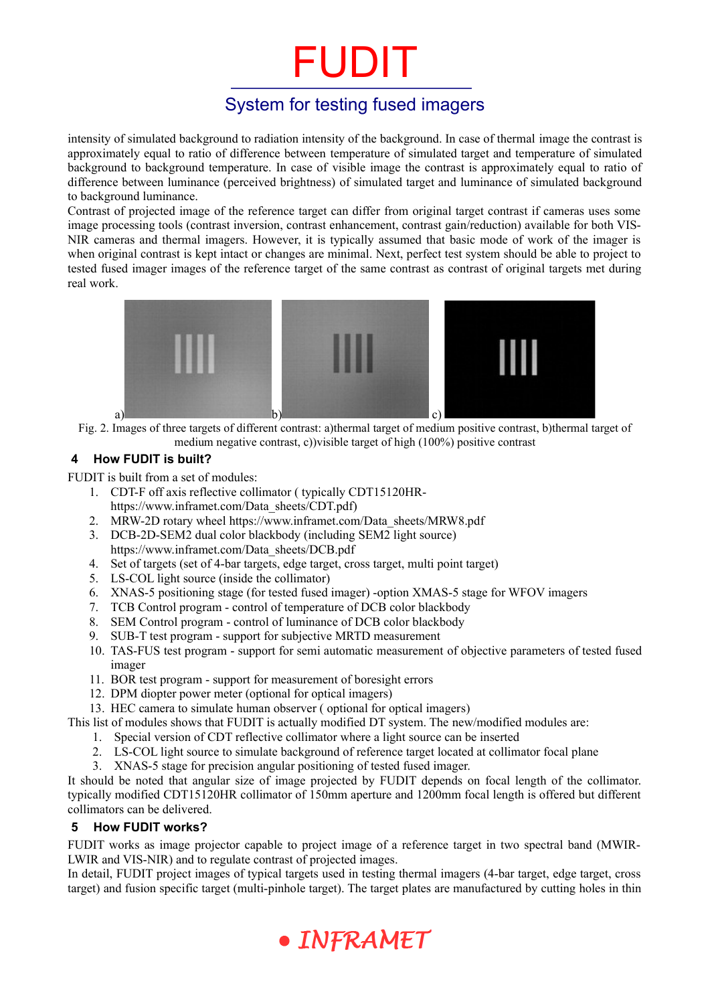# FUDIT

## System for testing fused imagers

intensity of simulated background to radiation intensity of the background. In case of thermal image the contrast is approximately equal to ratio of difference between temperature of simulated target and temperature of simulated background to background temperature. In case of visible image the contrast is approximately equal to ratio of difference between luminance (perceived brightness) of simulated target and luminance of simulated background to background luminance.

Contrast of projected image of the reference target can differ from original target contrast if cameras uses some image processing tools (contrast inversion, contrast enhancement, contrast gain/reduction) available for both VIS-NIR cameras and thermal imagers. However, it is typically assumed that basic mode of work of the imager is when original contrast is kept intact or changes are minimal. Next, perfect test system should be able to project to tested fused imager images of the reference target of the same contrast as contrast of original targets met during real work.



Fig. 2. Images of three targets of different contrast: a)thermal target of medium positive contrast, b)thermal target of medium negative contrast, c))visible target of high (100%) positive contrast

## **4 How FUDIT is built?**

FUDIT is built from a set of modules:

- 1. CDT-F off axis reflective collimator ( typically CDT15120HRhttps://www.inframet.com/Data\_sheets/CDT.pdf)
- 2. MRW-2D rotary wheel https://www.inframet.com/Data\_sheets/MRW8.pdf
- 3. DCB-2D-SEM2 dual color blackbody (including SEM2 light source) https://www.inframet.com/Data\_sheets/DCB.pdf
- 4. Set of targets (set of 4-bar targets, edge target, cross target, multi point target)
- 5. LS-COL light source (inside the collimator)
- 6. XNAS-5 positioning stage (for tested fused imager) -option XMAS-5 stage for WFOV imagers
- 7. TCB Control program control of temperature of DCB color blackbody
- 8. SEM Control program control of luminance of DCB color blackbody
- 9. SUB-T test program support for subjective MRTD measurement
- 10. TAS-FUS test program support for semi automatic measurement of objective parameters of tested fused imager
- 11. BOR test program support for measurement of boresight errors
- 12. DPM diopter power meter (optional for optical imagers)
- 13. HEC camera to simulate human observer ( optional for optical imagers)

This list of modules shows that FUDIT is actually modified DT system. The new/modified modules are:

- 1. Special version of CDT reflective collimator where a light source can be inserted
- 2. LS-COL light source to simulate background of reference target located at collimator focal plane
- 3. XNAS-5 stage for precision angular positioning of tested fused imager.

It should be noted that angular size of image projected by FUDIT depends on focal length of the collimator. typically modified CDT15120HR collimator of 150mm aperture and 1200mm focal length is offered but different collimators can be delivered.

## **5 How FUDIT works?**

FUDIT works as image projector capable to project image of a reference target in two spectral band (MWIR-LWIR and VIS-NIR) and to regulate contrast of projected images.

In detail, FUDIT project images of typical targets used in testing thermal imagers (4-bar target, edge target, cross target) and fusion specific target (multi-pinhole target). The target plates are manufactured by cutting holes in thin

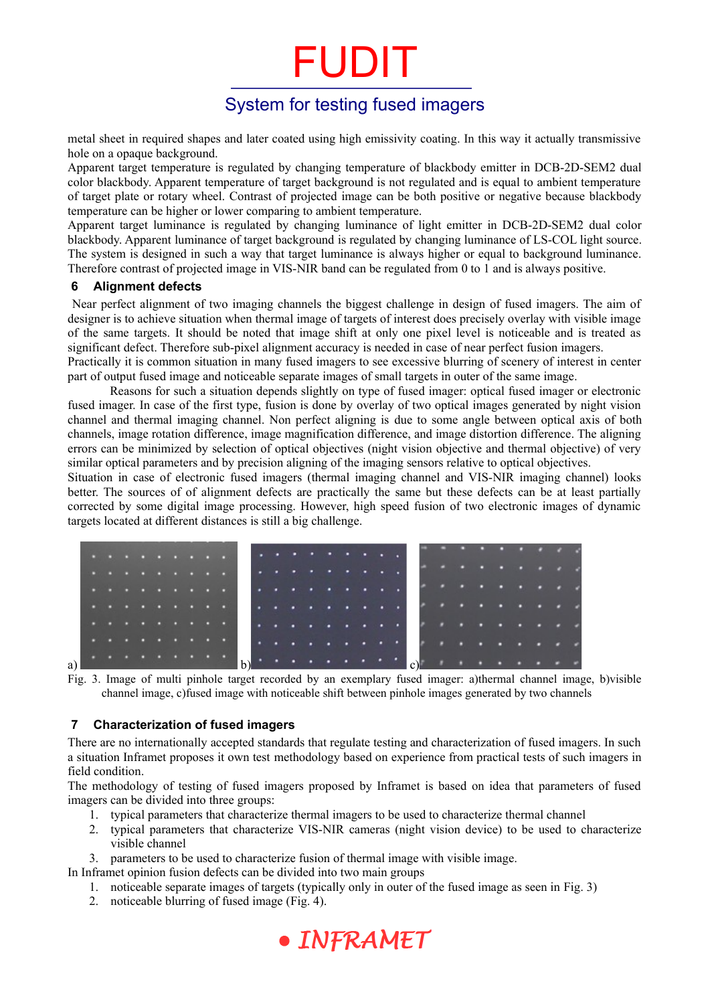# FUDIT

## System for testing fused imagers

metal sheet in required shapes and later coated using high emissivity coating. In this way it actually transmissive hole on a opaque background.

Apparent target temperature is regulated by changing temperature of blackbody emitter in DCB-2D-SEM2 dual color blackbody. Apparent temperature of target background is not regulated and is equal to ambient temperature of target plate or rotary wheel. Contrast of projected image can be both positive or negative because blackbody temperature can be higher or lower comparing to ambient temperature.

Apparent target luminance is regulated by changing luminance of light emitter in DCB-2D-SEM2 dual color blackbody. Apparent luminance of target background is regulated by changing luminance of LS-COL light source. The system is designed in such a way that target luminance is always higher or equal to background luminance. Therefore contrast of projected image in VIS-NIR band can be regulated from 0 to 1 and is always positive.

#### **6 Alignment defects**

 Near perfect alignment of two imaging channels the biggest challenge in design of fused imagers. The aim of designer is to achieve situation when thermal image of targets of interest does precisely overlay with visible image of the same targets. It should be noted that image shift at only one pixel level is noticeable and is treated as significant defect. Therefore sub-pixel alignment accuracy is needed in case of near perfect fusion imagers.

Practically it is common situation in many fused imagers to see excessive blurring of scenery of interest in center part of output fused image and noticeable separate images of small targets in outer of the same image.

Reasons for such a situation depends slightly on type of fused imager: optical fused imager or electronic fused imager. In case of the first type, fusion is done by overlay of two optical images generated by night vision channel and thermal imaging channel. Non perfect aligning is due to some angle between optical axis of both channels, image rotation difference, image magnification difference, and image distortion difference. The aligning errors can be minimized by selection of optical objectives (night vision objective and thermal objective) of very similar optical parameters and by precision aligning of the imaging sensors relative to optical objectives.

Situation in case of electronic fused imagers (thermal imaging channel and VIS-NIR imaging channel) looks better. The sources of of alignment defects are practically the same but these defects can be at least partially corrected by some digital image processing. However, high speed fusion of two electronic images of dynamic targets located at different distances is still a big challenge.



<span id="page-2-0"></span>Fig. 3. Image of multi pinhole target recorded by an exemplary fused imager: a)thermal channel image, b)visible channel image, c)fused image with noticeable shift between pinhole images generated by two channels

### **7 Characterization of fused imagers**

There are no internationally accepted standards that regulate testing and characterization of fused imagers. In such a situation Inframet proposes it own test methodology based on experience from practical tests of such imagers in field condition.

The methodology of testing of fused imagers proposed by Inframet is based on idea that parameters of fused imagers can be divided into three groups:

- 1. typical parameters that characterize thermal imagers to be used to characterize thermal channel
- 2. typical parameters that characterize VIS-NIR cameras (night vision device) to be used to characterize visible channel

3. parameters to be used to characterize fusion of thermal image with visible image.

In Inframet opinion fusion defects can be divided into two main groups

- 1. noticeable separate images of targets (typically only in outer of the fused image as seen in [Fig. 3](#page-2-0))
- 2. noticeable blurring of fused image [\(Fig. 4](#page-3-0)).

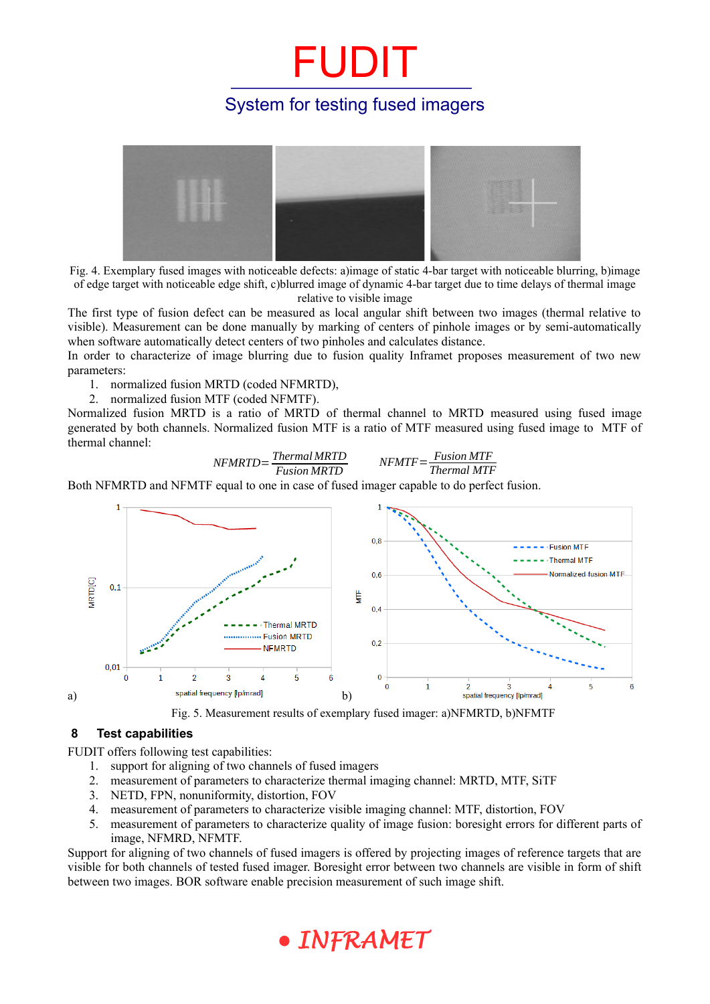## FUDIT System for testing fused imagers



<span id="page-3-0"></span>Fig. 4. Exemplary fused images with noticeable defects: a)image of static 4-bar target with noticeable blurring, b)image of edge target with noticeable edge shift, c)blurred image of dynamic 4-bar target due to time delays of thermal image relative to visible image

The first type of fusion defect can be measured as local angular shift between two images (thermal relative to visible). Measurement can be done manually by marking of centers of pinhole images or by semi-automatically when software automatically detect centers of two pinholes and calculates distance.

In order to characterize of image blurring due to fusion quality Inframet proposes measurement of two new parameters:

1. normalized fusion MRTD (coded NFMRTD),

2. normalized fusion MTF (coded NFMTF).

Normalized fusion MRTD is a ratio of MRTD of thermal channel to MRTD measured using fused image generated by both channels. Normalized fusion MTF is a ratio of MTF measured using fused image to MTF of thermal channel:

> *NFMRTD*= *Thermal MRTD Fusion MRTD NFMTF*= *Fusion MTF*

*Thermal MTF*

Both NFMRTD and NFMTF equal to one in case of fused imager capable to do perfect fusion.



Fig. 5. Measurement results of exemplary fused imager: a)NFMRTD, b)NFMTF

## **8 Test capabilities**

FUDIT offers following test capabilities:

- 1. support for aligning of two channels of fused imagers
- 2. measurement of parameters to characterize thermal imaging channel: MRTD, MTF, SiTF
- 3. NETD, FPN, nonuniformity, distortion, FOV
- 4. measurement of parameters to characterize visible imaging channel: MTF, distortion, FOV
- 5. measurement of parameters to characterize quality of image fusion: boresight errors for different parts of image, NFMRD, NFMTF.

Support for aligning of two channels of fused imagers is offered by projecting images of reference targets that are visible for both channels of tested fused imager. Boresight error between two channels are visible in form of shift between two images. BOR software enable precision measurement of such image shift.